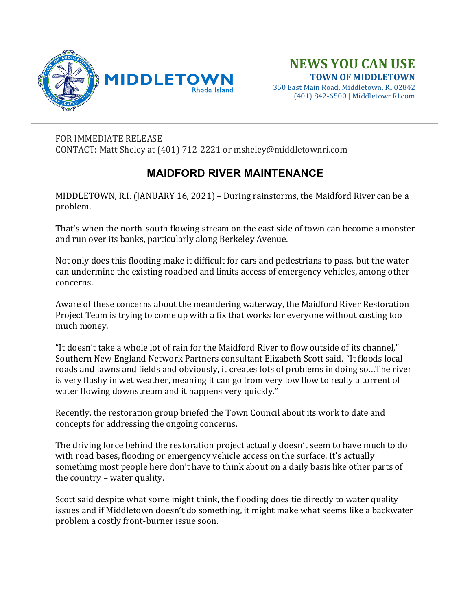

350 East Main Road, Middletown, RI 02842 (401) 842-6500 | MiddletownRI.com

## FOR IMMEDIATE RELEASE

CONTACT: Matt Sheley at (401) 712-2221 or msheley@middletownri.com

## **MAIDFORD RIVER MAINTENANCE**

MIDDLETOWN, R.I. (JANUARY 16, 2021) – During rainstorms, the Maidford River can be a problem.

That's when the north-south flowing stream on the east side of town can become a monster and run over its banks, particularly along Berkeley Avenue.

Not only does this flooding make it difficult for cars and pedestrians to pass, but the water can undermine the existing roadbed and limits access of emergency vehicles, among other concerns.

Aware of these concerns about the meandering waterway, the Maidford River Restoration Project Team is trying to come up with a fix that works for everyone without costing too much money.

"It doesn't take a whole lot of rain for the Maidford River to flow outside of its channel," Southern New England Network Partners consultant Elizabeth Scott said. "It floods local roads and lawns and fields and obviously, it creates lots of problems in doing so…The river is very flashy in wet weather, meaning it can go from very low flow to really a torrent of water flowing downstream and it happens very quickly."

Recently, the restoration group briefed the Town Council about its work to date and concepts for addressing the ongoing concerns.

The driving force behind the restoration project actually doesn't seem to have much to do with road bases, flooding or emergency vehicle access on the surface. It's actually something most people here don't have to think about on a daily basis like other parts of the country – water quality.

Scott said despite what some might think, the flooding does tie directly to water quality issues and if Middletown doesn't do something, it might make what seems like a backwater problem a costly front-burner issue soon.